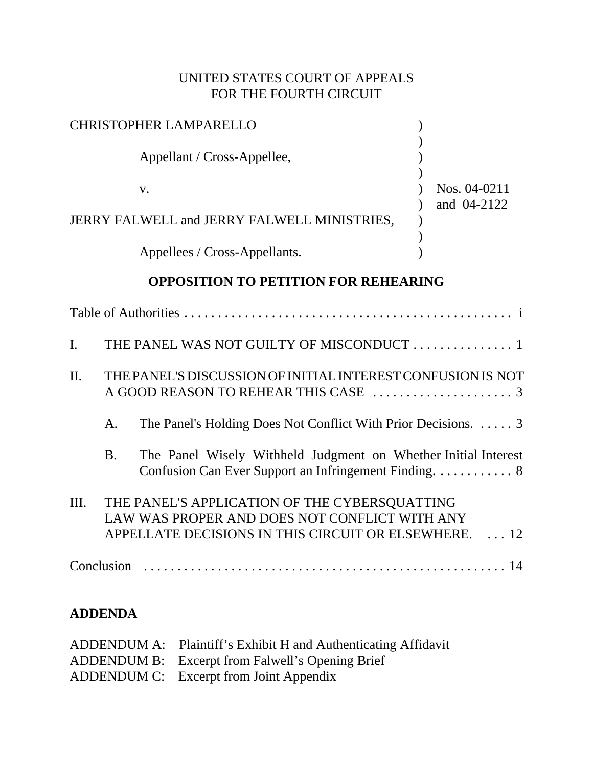# UNITED STATES COURT OF APPEALS FOR THE FOURTH CIRCUIT

| CHRISTOPHER LAMPARELLO                      |              |
|---------------------------------------------|--------------|
| Appellant / Cross-Appellee,                 |              |
| v.                                          | Nos. 04-0211 |
| JERRY FALWELL and JERRY FALWELL MINISTRIES, | and 04-2122  |
| Appellees / Cross-Appellants.               |              |

# **OPPOSITION TO PETITION FOR REHEARING**

| $\mathbf{I}$ . |           | THE PANEL WAS NOT GUILTY OF MISCONDUCT  1                                                                                                               |
|----------------|-----------|---------------------------------------------------------------------------------------------------------------------------------------------------------|
| $\Pi$ .        |           | THE PANEL'S DISCUSSION OF INITIAL INTEREST CONFUSION IS NOT                                                                                             |
|                | А.        | The Panel's Holding Does Not Conflict With Prior Decisions.  3                                                                                          |
|                | <b>B.</b> | The Panel Wisely Withheld Judgment on Whether Initial Interest                                                                                          |
| III.           |           | THE PANEL'S APPLICATION OF THE CYBERSQUATTING<br>LAW WAS PROPER AND DOES NOT CONFLICT WITH ANY<br>APPELLATE DECISIONS IN THIS CIRCUIT OR ELSEWHERE.  12 |
|                |           |                                                                                                                                                         |

# **ADDENDA**

| ADDENDUM A: Plaintiff's Exhibit H and Authenticating Affidavit |
|----------------------------------------------------------------|
| ADDENDUM B: Excerpt from Falwell's Opening Brief               |
| ADDENDUM C: Excerpt from Joint Appendix                        |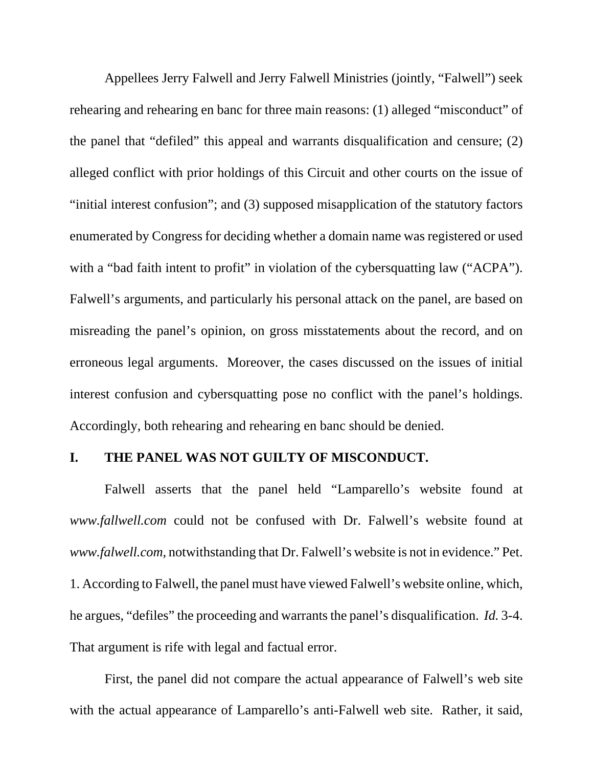Appellees Jerry Falwell and Jerry Falwell Ministries (jointly, "Falwell") seek rehearing and rehearing en banc for three main reasons: (1) alleged "misconduct" of the panel that "defiled" this appeal and warrants disqualification and censure; (2) alleged conflict with prior holdings of this Circuit and other courts on the issue of "initial interest confusion"; and (3) supposed misapplication of the statutory factors enumerated by Congress for deciding whether a domain name was registered or used with a "bad faith intent to profit" in violation of the cybersquatting law ("ACPA"). Falwell's arguments, and particularly his personal attack on the panel, are based on misreading the panel's opinion, on gross misstatements about the record, and on erroneous legal arguments. Moreover, the cases discussed on the issues of initial interest confusion and cybersquatting pose no conflict with the panel's holdings. Accordingly, both rehearing and rehearing en banc should be denied.

### **I. THE PANEL WAS NOT GUILTY OF MISCONDUCT.**

Falwell asserts that the panel held "Lamparello's website found at *www.fallwell.com* could not be confused with Dr. Falwell's website found at *www.falwell.com*, notwithstanding that Dr. Falwell's website is not in evidence." Pet. 1. According to Falwell, the panel must have viewed Falwell's website online, which, he argues, "defiles" the proceeding and warrants the panel's disqualification. *Id.* 3-4. That argument is rife with legal and factual error.

First, the panel did not compare the actual appearance of Falwell's web site with the actual appearance of Lamparello's anti-Falwell web site. Rather, it said,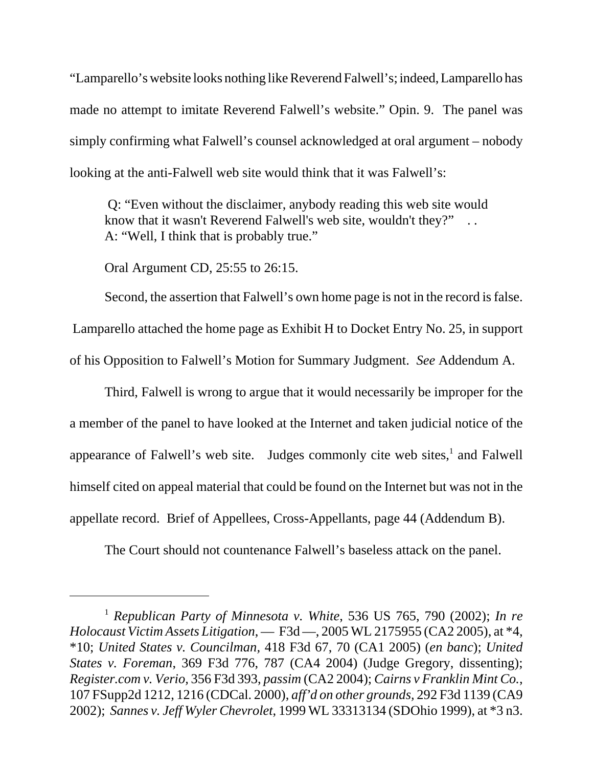"Lamparello's website looks nothing like Reverend Falwell's; indeed, Lamparello has made no attempt to imitate Reverend Falwell's website." Opin. 9. The panel was simply confirming what Falwell's counsel acknowledged at oral argument – nobody looking at the anti-Falwell web site would think that it was Falwell's:

 Q: "Even without the disclaimer, anybody reading this web site would know that it wasn't Reverend Falwell's web site, wouldn't they?" A: "Well, I think that is probably true."

Oral Argument CD, 25:55 to 26:15.

Second, the assertion that Falwell's own home page is not in the record is false. Lamparello attached the home page as Exhibit H to Docket Entry No. 25, in support of his Opposition to Falwell's Motion for Summary Judgment. *See* Addendum A.

Third, Falwell is wrong to argue that it would necessarily be improper for the a member of the panel to have looked at the Internet and taken judicial notice of the appearance of Falwell's web site. Judges commonly cite web sites, $<sup>1</sup>$  and Falwell</sup> himself cited on appeal material that could be found on the Internet but was not in the appellate record. Brief of Appellees, Cross-Appellants, page 44 (Addendum B).

The Court should not countenance Falwell's baseless attack on the panel.

<sup>1</sup> *Republican Party of Minnesota v. White*, 536 US 765, 790 (2002); *In re Holocaust Victim Assets Litigation*, — F3d —, 2005 WL 2175955 (CA2 2005), at \*4, \*10; *United States v. Councilman,* 418 F3d 67, 70 (CA1 2005) (*en banc*); *United States v. Foreman*, 369 F3d 776, 787 (CA4 2004) (Judge Gregory, dissenting); *Register.com v. Verio,* 356 F3d 393, *passim* (CA2 2004); *Cairns v Franklin Mint Co.*, 107 FSupp2d 1212, 1216 (CDCal. 2000), *aff'd on other grounds,* 292 F3d 1139 (CA9 2002); *Sannes v. Jeff Wyler Chevrolet*, 1999 WL 33313134 (SDOhio 1999), at \*3 n3.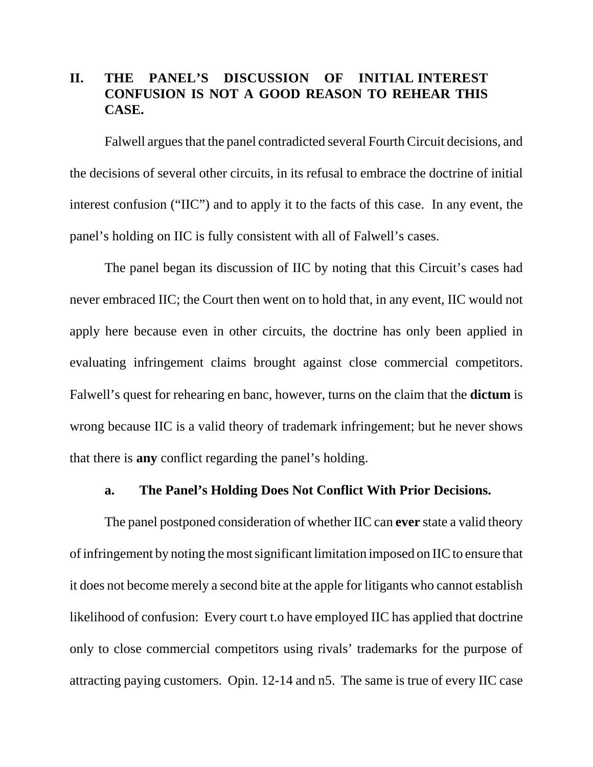# **II. THE PANEL'S DISCUSSION OF INITIAL INTEREST CONFUSION IS NOT A GOOD REASON TO REHEAR THIS CASE.**

Falwell argues that the panel contradicted several Fourth Circuit decisions, and the decisions of several other circuits, in its refusal to embrace the doctrine of initial interest confusion ("IIC") and to apply it to the facts of this case. In any event, the panel's holding on IIC is fully consistent with all of Falwell's cases.

The panel began its discussion of IIC by noting that this Circuit's cases had never embraced IIC; the Court then went on to hold that, in any event, IIC would not apply here because even in other circuits, the doctrine has only been applied in evaluating infringement claims brought against close commercial competitors. Falwell's quest for rehearing en banc, however, turns on the claim that the **dictum** is wrong because IIC is a valid theory of trademark infringement; but he never shows that there is **any** conflict regarding the panel's holding.

### **a. The Panel's Holding Does Not Conflict With Prior Decisions.**

The panel postponed consideration of whether IIC can **ever** state a valid theory of infringement by noting the most significant limitation imposed on IIC to ensure that it does not become merely a second bite at the apple for litigants who cannot establish likelihood of confusion: Every court t.o have employed IIC has applied that doctrine only to close commercial competitors using rivals' trademarks for the purpose of attracting paying customers. Opin. 12-14 and n5. The same is true of every IIC case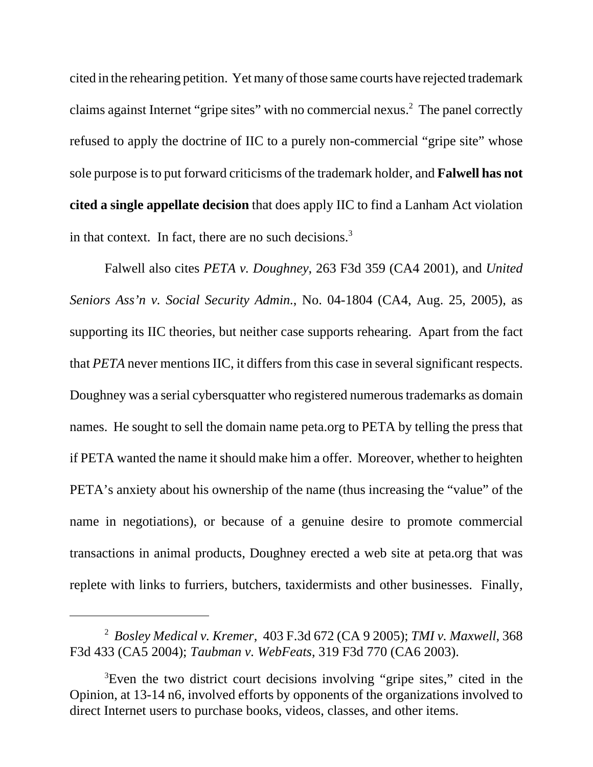cited in the rehearing petition. Yet many of those same courts have rejected trademark claims against Internet "gripe sites" with no commercial nexus.<sup>2</sup> The panel correctly refused to apply the doctrine of IIC to a purely non-commercial "gripe site" whose sole purpose is to put forward criticisms of the trademark holder, and **Falwell has not cited a single appellate decision** that does apply IIC to find a Lanham Act violation in that context. In fact, there are no such decisions.<sup>3</sup>

Falwell also cites *PETA v. Doughney*, 263 F3d 359 (CA4 2001), and *United Seniors Ass'n v. Social Security Admin.*, No. 04-1804 (CA4, Aug. 25, 2005), as supporting its IIC theories, but neither case supports rehearing. Apart from the fact that *PETA* never mentions IIC, it differs from this case in several significant respects. Doughney was a serial cybersquatter who registered numerous trademarks as domain names. He sought to sell the domain name peta.org to PETA by telling the press that if PETA wanted the name it should make him a offer. Moreover, whether to heighten PETA's anxiety about his ownership of the name (thus increasing the "value" of the name in negotiations), or because of a genuine desire to promote commercial transactions in animal products, Doughney erected a web site at peta.org that was replete with links to furriers, butchers, taxidermists and other businesses. Finally,

<sup>2</sup> *Bosley Medical v. Kremer*, 403 F.3d 672 (CA 9 2005); *TMI v. Maxwell*, 368 F3d 433 (CA5 2004); *Taubman v. WebFeats*, 319 F3d 770 (CA6 2003).

<sup>&</sup>lt;sup>3</sup>Even the two district court decisions involving "gripe sites," cited in the Opinion, at 13-14 n6, involved efforts by opponents of the organizations involved to direct Internet users to purchase books, videos, classes, and other items.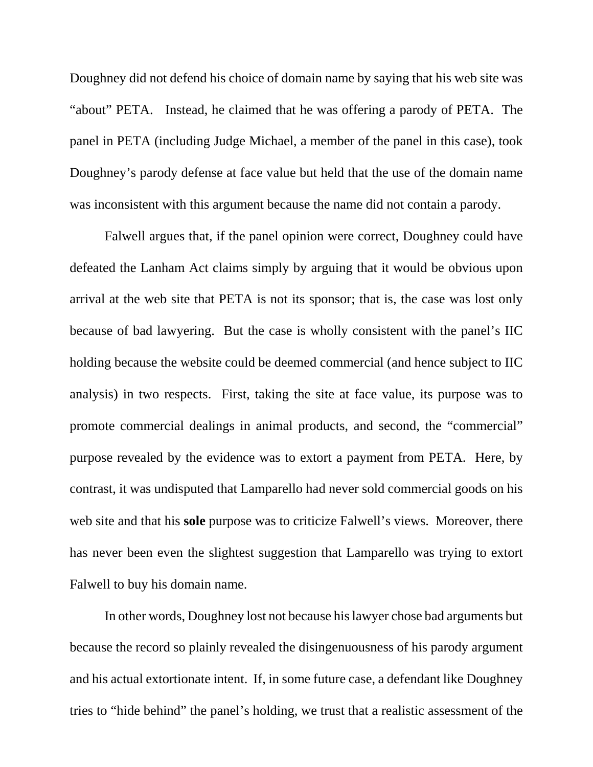Doughney did not defend his choice of domain name by saying that his web site was "about" PETA. Instead, he claimed that he was offering a parody of PETA. The panel in PETA (including Judge Michael, a member of the panel in this case), took Doughney's parody defense at face value but held that the use of the domain name was inconsistent with this argument because the name did not contain a parody.

Falwell argues that, if the panel opinion were correct, Doughney could have defeated the Lanham Act claims simply by arguing that it would be obvious upon arrival at the web site that PETA is not its sponsor; that is, the case was lost only because of bad lawyering. But the case is wholly consistent with the panel's IIC holding because the website could be deemed commercial (and hence subject to IIC analysis) in two respects. First, taking the site at face value, its purpose was to promote commercial dealings in animal products, and second, the "commercial" purpose revealed by the evidence was to extort a payment from PETA. Here, by contrast, it was undisputed that Lamparello had never sold commercial goods on his web site and that his **sole** purpose was to criticize Falwell's views. Moreover, there has never been even the slightest suggestion that Lamparello was trying to extort Falwell to buy his domain name.

In other words, Doughney lost not because his lawyer chose bad arguments but because the record so plainly revealed the disingenuousness of his parody argument and his actual extortionate intent. If, in some future case, a defendant like Doughney tries to "hide behind" the panel's holding, we trust that a realistic assessment of the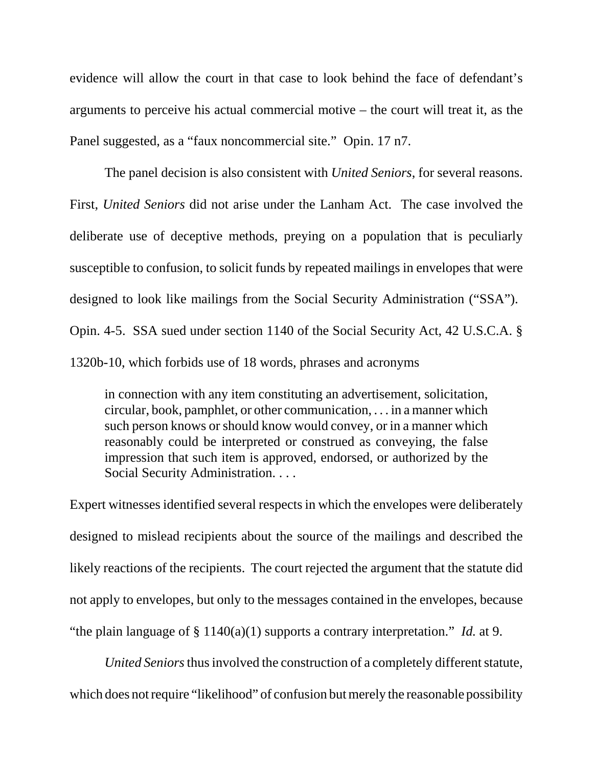evidence will allow the court in that case to look behind the face of defendant's arguments to perceive his actual commercial motive – the court will treat it, as the Panel suggested, as a "faux noncommercial site." Opin. 17 n7.

The panel decision is also consistent with *United Seniors*, for several reasons. First, *United Seniors* did not arise under the Lanham Act. The case involved the deliberate use of deceptive methods, preying on a population that is peculiarly susceptible to confusion, to solicit funds by repeated mailings in envelopes that were designed to look like mailings from the Social Security Administration ("SSA"). Opin. 4-5. SSA sued under section 1140 of the Social Security Act, 42 U.S.C.A. § 1320b-10, which forbids use of 18 words, phrases and acronyms

in connection with any item constituting an advertisement, solicitation, circular, book, pamphlet, or other communication, . . . in a manner which such person knows or should know would convey, or in a manner which reasonably could be interpreted or construed as conveying, the false impression that such item is approved, endorsed, or authorized by the Social Security Administration. . . .

Expert witnesses identified several respects in which the envelopes were deliberately designed to mislead recipients about the source of the mailings and described the likely reactions of the recipients. The court rejected the argument that the statute did not apply to envelopes, but only to the messages contained in the envelopes, because "the plain language of § 1140(a)(1) supports a contrary interpretation." *Id.* at 9.

*United Seniors* thus involved the construction of a completely different statute, which does not require "likelihood" of confusion but merely the reasonable possibility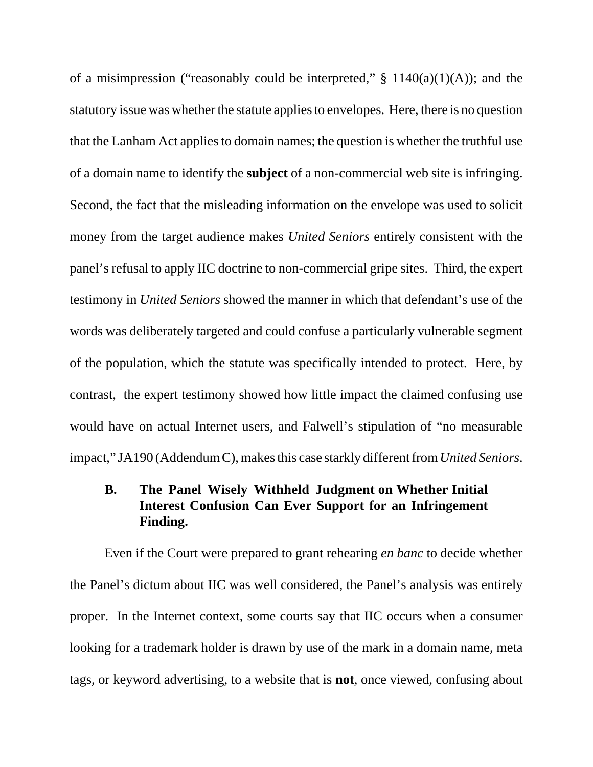of a misimpression ("reasonably could be interpreted,"  $\S$  1140(a)(1)(A)); and the statutory issue was whether the statute applies to envelopes. Here, there is no question that the Lanham Act applies to domain names; the question is whether the truthful use of a domain name to identify the **subject** of a non-commercial web site is infringing. Second, the fact that the misleading information on the envelope was used to solicit money from the target audience makes *United Seniors* entirely consistent with the panel's refusal to apply IIC doctrine to non-commercial gripe sites. Third, the expert testimony in *United Seniors* showed the manner in which that defendant's use of the words was deliberately targeted and could confuse a particularly vulnerable segment of the population, which the statute was specifically intended to protect. Here, by contrast, the expert testimony showed how little impact the claimed confusing use would have on actual Internet users, and Falwell's stipulation of "no measurable impact," JA190 (Addendum C), makes this case starkly different from *United Seniors*.

# **B. The Panel Wisely Withheld Judgment on Whether Initial Interest Confusion Can Ever Support for an Infringement Finding.**

Even if the Court were prepared to grant rehearing *en banc* to decide whether the Panel's dictum about IIC was well considered, the Panel's analysis was entirely proper. In the Internet context, some courts say that IIC occurs when a consumer looking for a trademark holder is drawn by use of the mark in a domain name, meta tags, or keyword advertising, to a website that is **not***,* once viewed, confusing about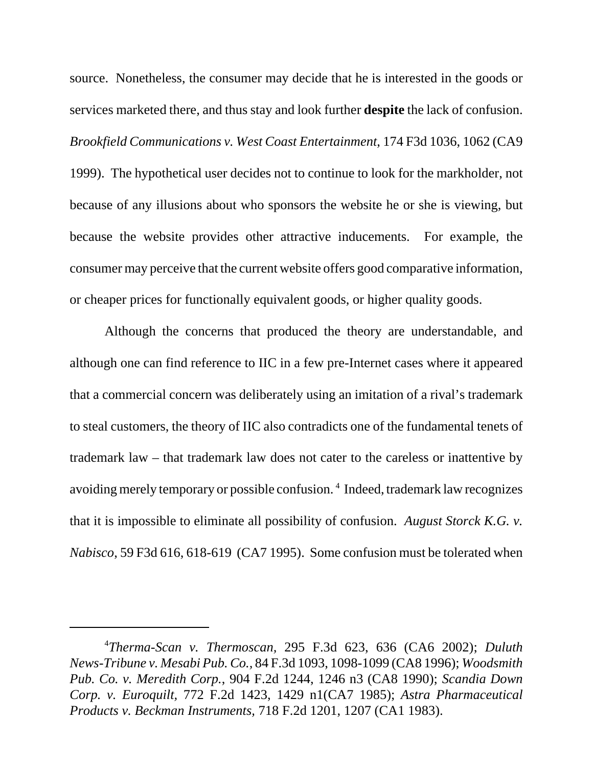source. Nonetheless, the consumer may decide that he is interested in the goods or services marketed there, and thus stay and look further **despite** the lack of confusion. *Brookfield Communications v. West Coast Entertainment*, 174 F3d 1036, 1062 (CA9 1999). The hypothetical user decides not to continue to look for the markholder, not because of any illusions about who sponsors the website he or she is viewing, but because the website provides other attractive inducements. For example, the consumer may perceive that the current website offers good comparative information, or cheaper prices for functionally equivalent goods, or higher quality goods.

Although the concerns that produced the theory are understandable, and although one can find reference to IIC in a few pre-Internet cases where it appeared that a commercial concern was deliberately using an imitation of a rival's trademark to steal customers, the theory of IIC also contradicts one of the fundamental tenets of trademark law – that trademark law does not cater to the careless or inattentive by avoiding merely temporary or possible confusion. 4 Indeed, trademark law recognizes that it is impossible to eliminate all possibility of confusion. *August Storck K.G. v. Nabisco*, 59 F3d 616, 618-619 (CA7 1995). Some confusion must be tolerated when

<sup>4</sup> *Therma-Scan v. Thermoscan,* 295 F.3d 623, 636 (CA6 2002); *Duluth News-Tribune v. Mesabi Pub. Co.,* 84 F.3d 1093, 1098-1099 (CA8 1996); *Woodsmith Pub. Co. v. Meredith Corp.*, 904 F.2d 1244, 1246 n3 (CA8 1990); *Scandia Down Corp. v. Euroquilt,* 772 F.2d 1423, 1429 n1(CA7 1985); *Astra Pharmaceutical Products v. Beckman Instruments,* 718 F.2d 1201, 1207 (CA1 1983).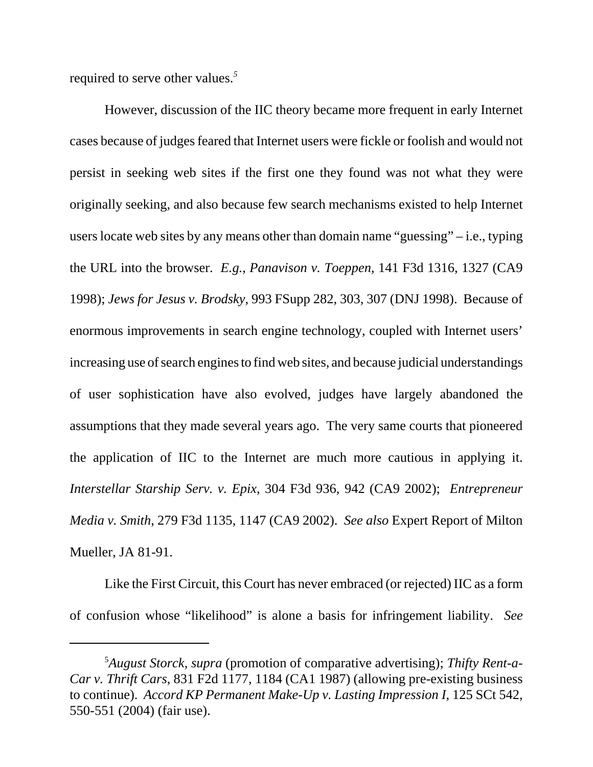required to serve other values.*<sup>5</sup>*

However, discussion of the IIC theory became more frequent in early Internet cases because of judges feared that Internet users were fickle or foolish and would not persist in seeking web sites if the first one they found was not what they were originally seeking, and also because few search mechanisms existed to help Internet users locate web sites by any means other than domain name "guessing" – i.e., typing the URL into the browser. *E.g.*, *Panavison v. Toeppen*, 141 F3d 1316, 1327 (CA9 1998); *Jews for Jesus v. Brodsky*, 993 FSupp 282, 303, 307 (DNJ 1998). Because of enormous improvements in search engine technology, coupled with Internet users' increasing use of search engines to find web sites, and because judicial understandings of user sophistication have also evolved, judges have largely abandoned the assumptions that they made several years ago. The very same courts that pioneered the application of IIC to the Internet are much more cautious in applying it. *Interstellar Starship Serv. v. Epix*, 304 F3d 936, 942 (CA9 2002); *Entrepreneur Media v. Smith*, 279 F3d 1135, 1147 (CA9 2002). *See also* Expert Report of Milton Mueller, JA 81-91.

Like the First Circuit, this Court has never embraced (or rejected) IIC as a form of confusion whose "likelihood" is alone a basis for infringement liability. *See*

<sup>5</sup> *August Storck, supra* (promotion of comparative advertising); *Thifty Rent-a-Car v. Thrift Cars*, 831 F2d 1177, 1184 (CA1 1987) (allowing pre-existing business to continue). *Accord KP Permanent Make-Up v. Lasting Impression I*, 125 SCt 542, 550-551 (2004) (fair use).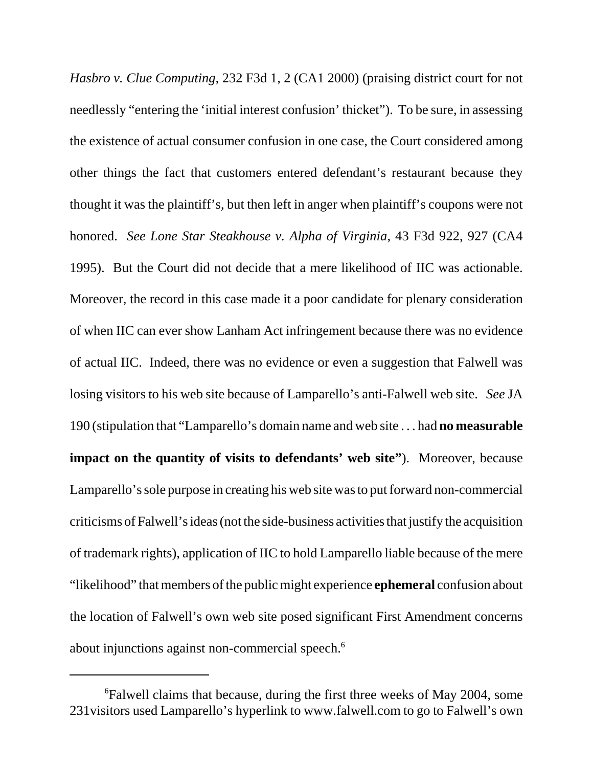*Hasbro v. Clue Computing,* 232 F3d 1, 2 (CA1 2000) (praising district court for not needlessly "entering the 'initial interest confusion' thicket"). To be sure, in assessing the existence of actual consumer confusion in one case, the Court considered among other things the fact that customers entered defendant's restaurant because they thought it was the plaintiff's, but then left in anger when plaintiff's coupons were not honored. *See Lone Star Steakhouse v. Alpha of Virginia*, 43 F3d 922, 927 (CA4 1995). But the Court did not decide that a mere likelihood of IIC was actionable. Moreover, the record in this case made it a poor candidate for plenary consideration of when IIC can ever show Lanham Act infringement because there was no evidence of actual IIC. Indeed, there was no evidence or even a suggestion that Falwell was losing visitors to his web site because of Lamparello's anti-Falwell web site. *See* JA 190 (stipulation that "Lamparello's domain name and web site . . . had **no measurable impact on the quantity of visits to defendants' web site"**). Moreover, because Lamparello's sole purpose in creating his web site was to put forward non-commercial criticisms of Falwell's ideas (not the side-business activities that justify the acquisition of trademark rights), application of IIC to hold Lamparello liable because of the mere "likelihood" that members of the public might experience **ephemeral** confusion about the location of Falwell's own web site posed significant First Amendment concerns about injunctions against non-commercial speech.<sup>6</sup>

<sup>6</sup> Falwell claims that because, during the first three weeks of May 2004, some 231visitors used Lamparello's hyperlink to www.falwell.com to go to Falwell's own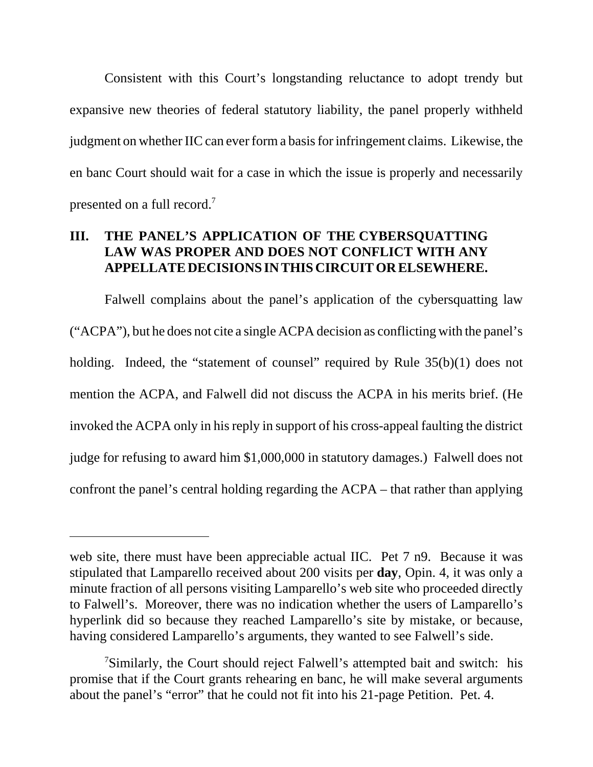Consistent with this Court's longstanding reluctance to adopt trendy but expansive new theories of federal statutory liability, the panel properly withheld judgment on whether IIC can ever form a basis for infringement claims. Likewise, the en banc Court should wait for a case in which the issue is properly and necessarily presented on a full record.7

# **III. THE PANEL'S APPLICATION OF THE CYBERSQUATTING LAW WAS PROPER AND DOES NOT CONFLICT WITH ANY APPELLATE DECISIONS IN THIS CIRCUIT OR ELSEWHERE.**

Falwell complains about the panel's application of the cybersquatting law ("ACPA"), but he does not cite a single ACPA decision as conflicting with the panel's holding. Indeed, the "statement of counsel" required by Rule  $35(b)(1)$  does not mention the ACPA, and Falwell did not discuss the ACPA in his merits brief. (He invoked the ACPA only in his reply in support of his cross-appeal faulting the district judge for refusing to award him \$1,000,000 in statutory damages.) Falwell does not confront the panel's central holding regarding the ACPA – that rather than applying

web site, there must have been appreciable actual IIC. Pet 7 n9. Because it was stipulated that Lamparello received about 200 visits per **day**, Opin. 4, it was only a minute fraction of all persons visiting Lamparello's web site who proceeded directly to Falwell's. Moreover, there was no indication whether the users of Lamparello's hyperlink did so because they reached Lamparello's site by mistake, or because, having considered Lamparello's arguments, they wanted to see Falwell's side.

<sup>&</sup>lt;sup>7</sup>Similarly, the Court should reject Falwell's attempted bait and switch: his promise that if the Court grants rehearing en banc, he will make several arguments about the panel's "error" that he could not fit into his 21-page Petition. Pet. 4.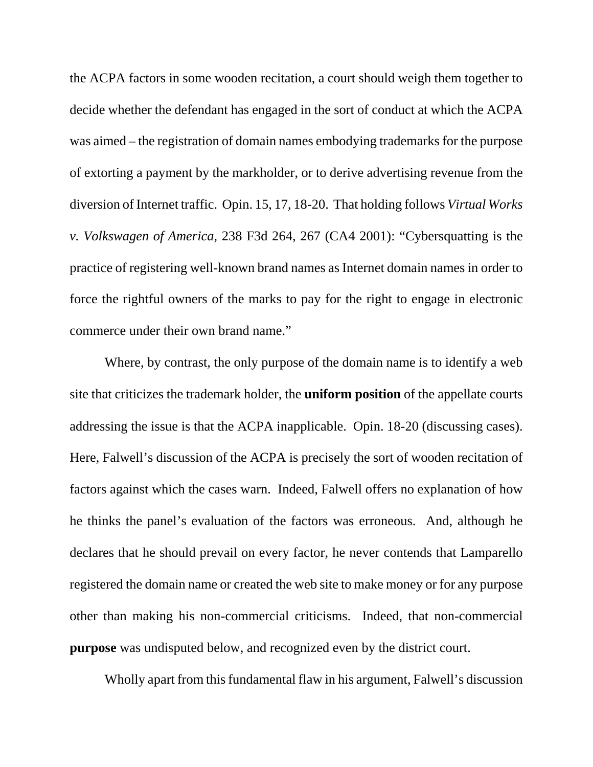the ACPA factors in some wooden recitation, a court should weigh them together to decide whether the defendant has engaged in the sort of conduct at which the ACPA was aimed – the registration of domain names embodying trademarks for the purpose of extorting a payment by the markholder, or to derive advertising revenue from the diversion of Internet traffic. Opin. 15, 17, 18-20. That holding follows *Virtual Works v. Volkswagen of America*, 238 F3d 264, 267 (CA4 2001): "Cybersquatting is the practice of registering well-known brand names as Internet domain names in order to force the rightful owners of the marks to pay for the right to engage in electronic commerce under their own brand name."

Where, by contrast, the only purpose of the domain name is to identify a web site that criticizes the trademark holder, the **uniform position** of the appellate courts addressing the issue is that the ACPA inapplicable. Opin. 18-20 (discussing cases). Here, Falwell's discussion of the ACPA is precisely the sort of wooden recitation of factors against which the cases warn. Indeed, Falwell offers no explanation of how he thinks the panel's evaluation of the factors was erroneous. And, although he declares that he should prevail on every factor, he never contends that Lamparello registered the domain name or created the web site to make money or for any purpose other than making his non-commercial criticisms. Indeed, that non-commercial **purpose** was undisputed below, and recognized even by the district court.

Wholly apart from this fundamental flaw in his argument, Falwell's discussion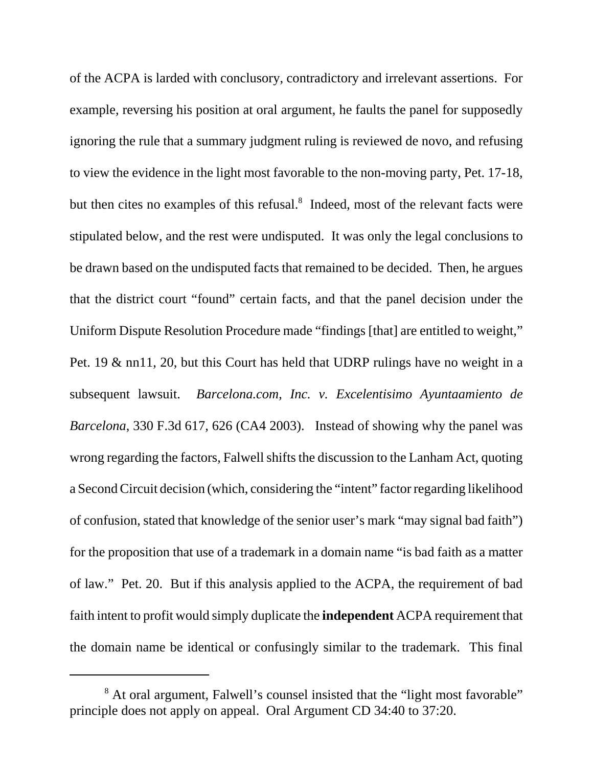of the ACPA is larded with conclusory, contradictory and irrelevant assertions. For example, reversing his position at oral argument, he faults the panel for supposedly ignoring the rule that a summary judgment ruling is reviewed de novo, and refusing to view the evidence in the light most favorable to the non-moving party, Pet. 17-18, but then cites no examples of this refusal.<sup>8</sup> Indeed, most of the relevant facts were stipulated below, and the rest were undisputed. It was only the legal conclusions to be drawn based on the undisputed facts that remained to be decided. Then, he argues that the district court "found" certain facts, and that the panel decision under the Uniform Dispute Resolution Procedure made "findings [that] are entitled to weight," Pet. 19 & nn11, 20, but this Court has held that UDRP rulings have no weight in a subsequent lawsuit. *Barcelona.com, Inc. v. Excelentisimo Ayuntaamiento de Barcelona*, 330 F.3d 617, 626 (CA4 2003). Instead of showing why the panel was wrong regarding the factors, Falwell shifts the discussion to the Lanham Act, quoting a Second Circuit decision (which, considering the "intent" factor regarding likelihood of confusion, stated that knowledge of the senior user's mark "may signal bad faith") for the proposition that use of a trademark in a domain name "is bad faith as a matter of law." Pet. 20. But if this analysis applied to the ACPA, the requirement of bad faith intent to profit would simply duplicate the **independent** ACPA requirement that the domain name be identical or confusingly similar to the trademark. This final

<sup>&</sup>lt;sup>8</sup> At oral argument, Falwell's counsel insisted that the "light most favorable" principle does not apply on appeal. Oral Argument CD 34:40 to 37:20.